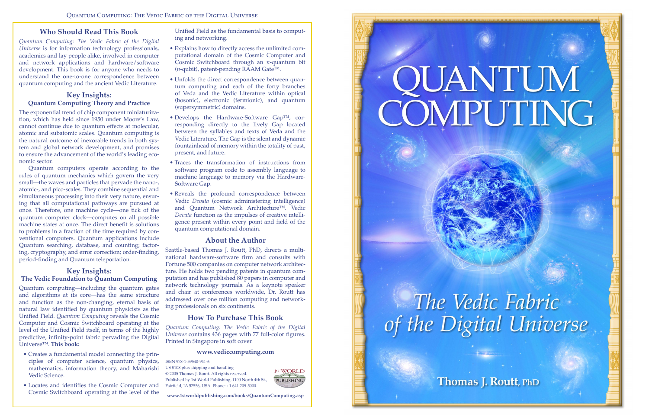# **Who Should Read This Book**

*Quantum Computing: The Vedic Fabric of the Digital Universe* is for information technology professionals, academics and lay people alike, involved in computer and network applications and hardware/software development. This book is for anyone who needs to understand the one-to-one correspondence between quantum computing and the ancient Vedic Literature.

# **Key Insights: Quantum Computing Theory and Practice**

The exponential trend of chip component miniaturization, which has held since 1950 under Moore's Law, cannot continue due to quantum effects at molecular, atomic and subatomic scales. Quantum computing is the natural outcome of inexorable trends in both system and global network development, and promises to ensure the advancement of the world's leading economic sector.

Quantum computers operate according to the rules of quantum mechanics which govern the very small—the waves and particles that pervade the nano-, atomic-, and pico-scales. They combine sequential and simultaneous processing into their very nature, ensuring that all computational pathways are pursued at once. Therefore, one machine cycle—one tick of the quantum computer clock—computes on all possible machine states at once. The direct benefit is solutions to problems in a fraction of the time required by conventional computers. Quantum applications include Quantum searching, database, and counting; factoring, cryptography, and error correction; order-finding, period-finding and Quantum teleportation.

## **Key Insights: The Vedic Foundation to Quantum Computing**

Quantum computing—including the quantum gates and algorithms at its core—has the same structure and function as the non-changing, eternal basis of natural law identified by quantum physicists as the Unified Field. *Quantum Computing* reveals the Cosmic Computer and Cosmic Switchboard operating at the level of the Unified Field itself, in terms of the highly predictive, infinity-point fabric pervading the Digital Universe™. **This book:**

- Creates a fundamental model connecting the principles of computer science, quantum physics, mathematics, information theory, and Maharishi Vedic Science.
- Locates and identifies the Cosmic Computer and Cosmic Switchboard operating at the level of the

Unified Field as the fundamental basis to computing and networking.

- Explains how to directly access the unlimited computational domain of the Cosmic Computer and Cosmic Switchboard through an *n*-quantum bit (*n*-qubit), patent-pending RAAM Gate™.
- Unfolds the direct correspondence between quantum computing and each of the forty branches of Veda and the Vedic Literature within optical (bosonic), electronic (fermionic), and quantum (supersymmetric) domains.
- Develops the Hardware-Software Gap™, corresponding directly to the lively Gap located between the syllables and texts of Veda and the Vedic Literature. The Gap is the silent and dynamic fountainhead of memory within the totality of past, present, and future.
- Traces the transformation of instructions from software program code to assembly language to machine language to memory via the Hardware-Software Gap.
- Reveals the profound correspondence between Vedic *Devata* (cosmic administering intelligence) and Quantum Network Architecture™. Vedic *Devata* function as the impulses of creative intelligence present within every point and field of the quantum computational domain.

## **About the Author**

Seattle-based Thomas J. Routt, PhD, directs a multinational hardware-software firm and consults with Fortune 500 companies on computer network architecture. He holds two pending patents in quantum computation and has published 80 papers in computer and network technology journals. As a keynote speaker and chair at conferences worldwide, Dr. Routt has addressed over one million computing and networking professionals on six continents.

# **How To Purchase This Book**

*Quantum Computing: The Vedic Fabric of the Digital Universe* contains 436 pages with 77 full-color figures. Printed in Singapore in soft cover.

#### **www.vediccomputing.com**

ISBN 978-1-59540-941-6

US \$108 plus shipping and handling

© 2005 Thomas J. Routt. All rights reserved. Published by 1st World Publishing, 1100 North 4th St., Fairfield, IA 52556, USA. Phone: +1 641 209-5000.

**www.1stworldpublishing.com/books/QuantumComputing.asp**





# **QUANTUM**<br>COMPUTING

The Vedic Fabric<br>of the Digital Universe

Thomas J. Routt, PhD